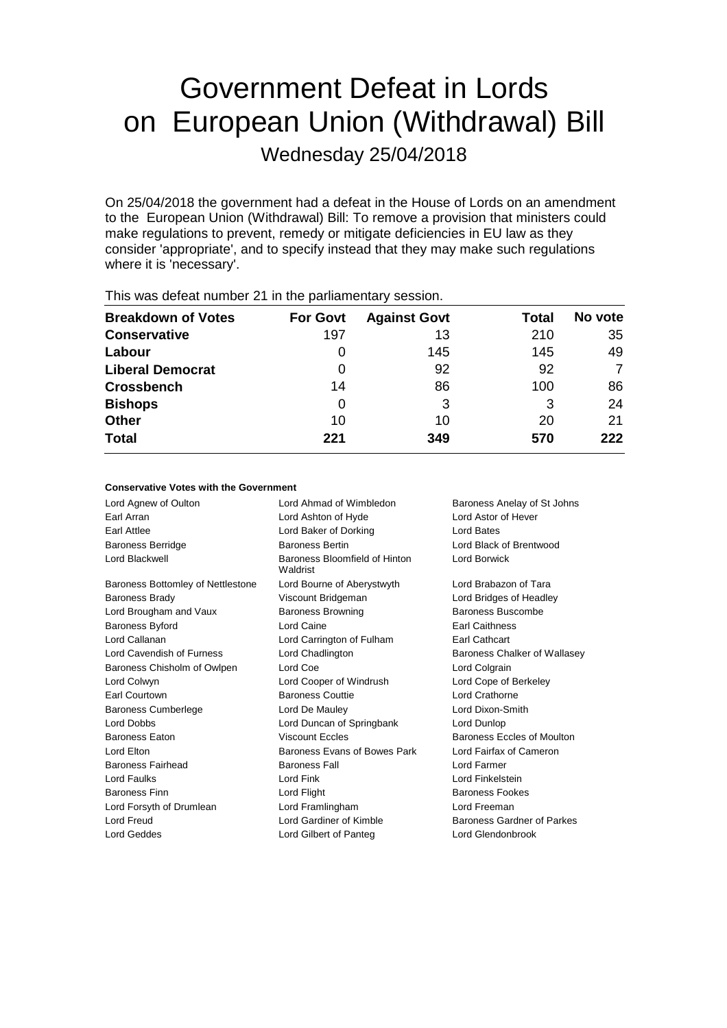# Government Defeat in Lords on European Union (Withdrawal) Bill

Wednesday 25/04/2018

On 25/04/2018 the government had a defeat in the House of Lords on an amendment to the European Union (Withdrawal) Bill: To remove a provision that ministers could make regulations to prevent, remedy or mitigate deficiencies in EU law as they consider 'appropriate', and to specify instead that they may make such regulations where it is 'necessary'.

| $\frac{1}{100}$ $\frac{1}{100}$ and $\frac{1}{100}$ and $\frac{1}{100}$ and $\frac{1}{100}$ is the paintain of $\frac{1}{100}$ and $\frac{1}{100}$ |                 |                     |       |         |  |
|----------------------------------------------------------------------------------------------------------------------------------------------------|-----------------|---------------------|-------|---------|--|
| <b>Breakdown of Votes</b>                                                                                                                          | <b>For Govt</b> | <b>Against Govt</b> | Total | No vote |  |
| <b>Conservative</b>                                                                                                                                | 197             | 13                  | 210   | 35      |  |
| Labour                                                                                                                                             | O               | 145                 | 145   | 49      |  |
| <b>Liberal Democrat</b>                                                                                                                            | 0               | 92                  | 92    | 7       |  |
| <b>Crossbench</b>                                                                                                                                  | 14              | 86                  | 100   | 86      |  |
| <b>Bishops</b>                                                                                                                                     | 0               | 3                   | 3     | 24      |  |
| <b>Other</b>                                                                                                                                       | 10              | 10                  | 20    | 21      |  |
| <b>Total</b>                                                                                                                                       | 221             | 349                 | 570   | 222     |  |
|                                                                                                                                                    |                 |                     |       |         |  |

This was defeat number 21 in the parliamentary session.

#### **Conservative Votes with the Government**

Lord Agnew of Oulton **Lord Ahmad of Wimbledon** Baroness Anelay of St Johns Earl Arran Lord Ashton of Hyde Lord Astor of Hever Earl Attlee Lord Baker of Dorking Lord Bates Baroness Berridge **Baroness Bertin** Baroness Bertin **Lord Black of Brentwood** Lord Blackwell **Baroness Bloomfield of Hinton** Waldrist Lord Borwick Baroness Bottomley of Nettlestone Lord Bourne of Aberystwyth Lord Brabazon of Tara Baroness Brady Viscount Bridgeman Lord Bridges of Headley Lord Brougham and Vaux **Baroness Browning** Baroness Buscombe Baroness Byford **Earl Cairce Earl Caithness** Earl Caithness **Earl Caithness** Lord Callanan Lord Carrington of Fulham Earl Cathcart Lord Cavendish of Furness Lord Chadlington Baroness Chalker of Wallasey Baroness Chisholm of Owlpen Lord Coe Colgrain Lord Colgrain Lord Colwyn Lord Cooper of Windrush Lord Cope of Berkeley Earl Courtown Baroness Couttie Lord Crathorne Baroness Cumberlege Lord De Mauley Lord Dixon-Smith Lord Dobbs Lord Duncan of Springbank Lord Dunlop Baroness Eaton **Baroness Eccles** Viscount Eccles **Baroness Eccles of Moulton** Lord Elton **Baroness Evans of Bowes Park** Lord Fairfax of Cameron Baroness Fairhead Baroness Fall **Baroness Fall** Lord Farmer Lord Faulks Lord Fink Lord Finkelstein Baroness Finn **Example 20** Lord Flight **Example 20 Lord Flight** Baroness Fookes Lord Forsyth of Drumlean Lord Framlingham Lord Freeman Lord Freud Lord Gardiner of Kimble Baroness Gardner of Parkes Lord Geddes Lord Gilbert of Panteg Lord Glendonbrook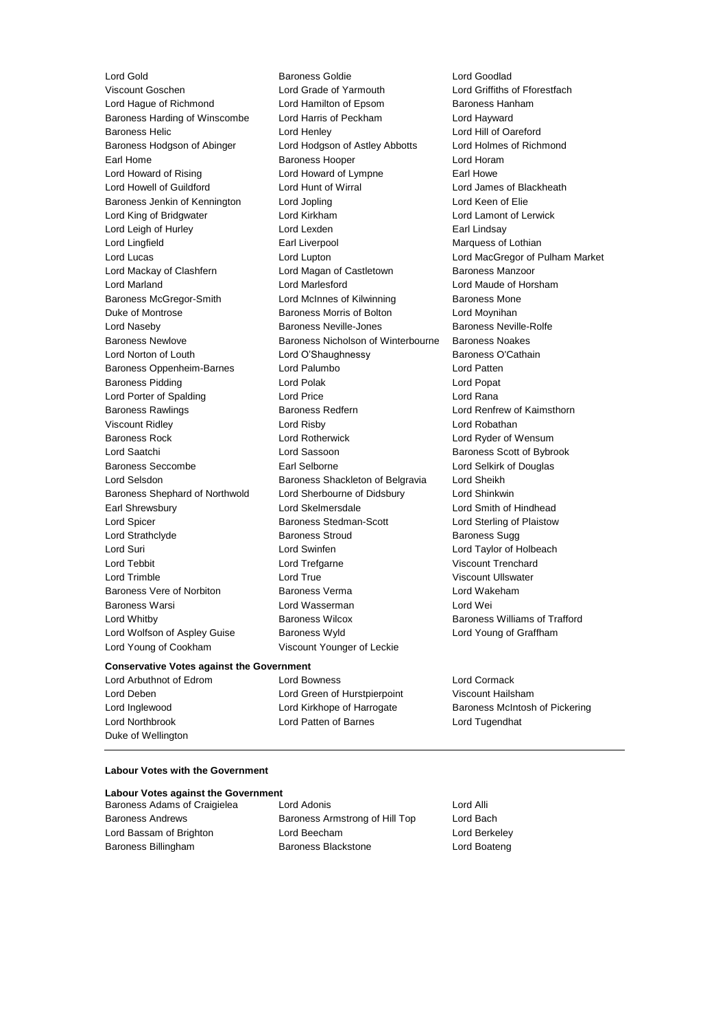Lord Young of Cookham Viscount Younger of Leckie

Lord Gold **Baroness Goldie Community** Baroness Goldie Corp. Lord Goodlad Viscount Goschen Lord Grade of Yarmouth Lord Griffiths of Fforestfach Lord Hague of Richmond Lord Hamilton of Epsom Baroness Hanham Baroness Harding of Winscombe Lord Harris of Peckham Lord Hayward Baroness Helic Lord Henley Lord Hill of Oareford Baroness Hodgson of Abinger Lord Hodgson of Astley Abbotts Lord Holmes of Richmond Earl Home **Baroness Hooper Baroness Hooper** Lord Horam Lord Howard of Rising **Lord Howard of Lympne** Earl Howe Lord Howell of Guildford Lord Hunt of Wirral Lord James of Blackheath Baroness Jenkin of Kennington Lord Jopling Lord Keen of Elie Lord King of Bridgwater Lord Kirkham Lord Lamont of Lerwick Lord Leigh of Hurley **Lord Lexden** Lord Lexden **Earl Lindsay** Lord Lingfield **Earl Liverpool** Earl Liverpool Marquess of Lothian Lord Lucas Lord Lupton Lord MacGregor of Pulham Market Lord Mackay of Clashfern Lord Magan of Castletown Baroness Manzoor Lord Marland Lord Marlesford Lord Maude of Horsham Baroness McGregor-Smith Lord McInnes of Kilwinning Baroness Mone Duke of Montrose **Baroness Morris of Bolton** Lord Moynihan Lord Naseby Baroness Neville-Jones Baroness Neville-Rolfe Baroness Newlove Baroness Nicholson of Winterbourne Baroness Noakes Lord Norton of Louth Lord O'Shaughnessy Baroness O'Cathain Baroness Oppenheim-Barnes Lord Palumbo **Lord Patten** Baroness Pidding **Lord Polak Lord Polace Lord Popat** Lord Porter of Spalding Lord Price Lord Rana Baroness Rawlings **Baroness Redfern Baroness Redfern Lord Renfrew of Kaimsthorn** Viscount Ridley Lord Risby Lord Robathan Baroness Rock Lord Rotherwick Lord Ryder of Wensum Lord Saatchi **Lord Saatchi** Lord Sassoon **Baroness Scott of Bybrook** Baroness Seccombe **Earl Selborne** Earl Selborne Lord Selkirk of Douglas Lord Selsdon Baroness Shackleton of Belgravia Lord Sheikh Baroness Shephard of Northwold Lord Sherbourne of Didsbury Lord Shinkwin Earl Shrewsbury Lord Skelmersdale Lord Smith of Hindhead Lord Spicer Baroness Stedman-Scott Lord Sterling of Plaistow Lord Strathclyde **Baroness Stroud** Baroness Sugg Lord Suri Lord Swinfen Lord Taylor of Holbeach Lord Tebbit Lord Trefgarne Viscount Trenchard Lord Trimble Lord True Viscount Ullswater Baroness Vere of Norbiton Baroness Verma Lord Wakeham Baroness Warsi Lord Wasserman Lord Wei Lord Whitby **Baroness Wilcox** Baroness Wilcox **Baroness Williams of Trafford** Lord Wolfson of Aspley Guise Baroness Wyld Lord Young of Graffham

### **Conservative Votes against the Government**

Duke of Wellington

### Lord Arbuthnot of Edrom Lord Bowness Lord Cormack Lord Deben Lord Green of Hurstpierpoint Viscount Hailsham Lord Northbrook Lord Patten of Barnes Lord Tugendhat

Lord Inglewood **Lord Kirkhope of Harrogate** Baroness McIntosh of Pickering

#### **Labour Votes with the Government**

#### **Labour Votes against the Government**

| Baroness Adams of Craigielea |  |
|------------------------------|--|
| <b>Baroness Andrews</b>      |  |
| Lord Bassam of Brighton      |  |
| Baroness Billingham          |  |

**Baroness Adams Craigieles Adams Lord Alli** Baroness Armstrong of Hill Top Lord Bach Lord Beecham **Communist Lord Berkeley** Baroness Blackstone **Baroness Blackstone** Lord Boateng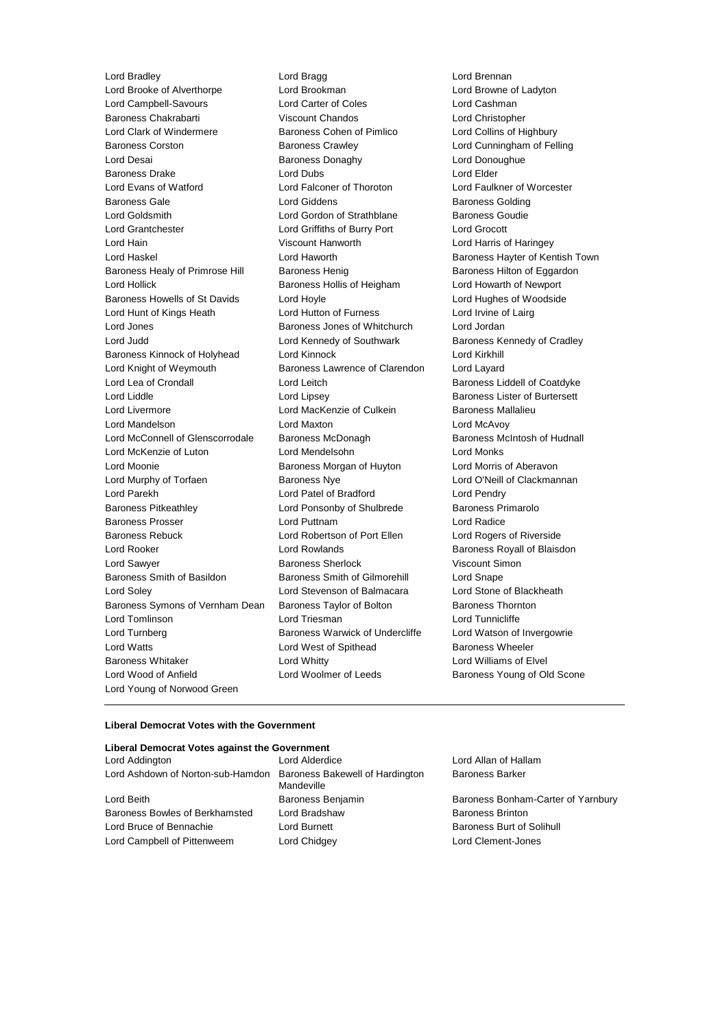Lord Bradley **Lord Bragg Lord Bragg Lord Bragg Lord Brennan**<br>
Lord Brooke of Alverthorpe **Lord Brookman**<br>
Lord Brooke of Alverthorpe **Lord Brookman** Lord Brooke of Alverthorpe Lord Brookman Lord Browne of Ladyton Lord Campbell-Savours Lord Carter of Coles Lord Cashman Baroness Chakrabarti Viscount Chandos Lord Christopher Lord Clark of Windermere Baroness Cohen of Pimlico Lord Collins of Highbury Baroness Corston **Baroness Crawley Community** Lord Cunningham of Felling Lord Desai Baroness Donaghy Lord Donoughue Baroness Drake Lord Dubs Lord Elder Lord Evans of Watford Lord Falconer of Thoroton Lord Faulkner of Worcester Baroness Gale **Baroness Golding** Lord Giddens **Baroness Golding** Lord Goldsmith **Lord Gordon of Strathblane** Baroness Goudie Lord Grantchester Lord Griffiths of Burry Port Lord Grocott Lord Hain Viscount Hanworth Lord Harris of Haringey Lord Haskel **Lord Haworth Baroness Hayter of Kentish Town** Baroness Healy of Primrose Hill Baroness Henig Baroness Hensen Baroness Hilton of Eggardon Lord Hollick **Baroness Hollis of Heigham** Lord Howarth of Newport Baroness Howells of St Davids Lord Hoyle Lord Hord Hughes of Woodside<br>
Lord Hunt of Kings Heath Lord Hutton of Furness Lord Irvine of Lairg Lord Hunt of Kings Heath Lord Hutton of Furness Lord Jones Baroness Jones of Whitchurch Lord Jordan Lord Judd **Lord Kennedy of Southwark** Baroness Kennedy of Cradley Baroness Kinnock of Holyhead Lord Kinnock Lord Kirkhill Lord Knight of Weymouth Baroness Lawrence of Clarendon Lord Layard Lord Lea of Crondall **Lord Leitch** Baroness Liddell of Coatdyke Lord Liddle Lord Lipsey Baroness Lister of Burtersett Lord Livermore **Lord MacKenzie of Culkein** Baroness Mallalieu Lord Mandelson Lord Maxton Lord McAvoy Lord McConnell of Glenscorrodale Baroness McDonagh Baroness Mc Baroness McIntosh of Hudnall Lord McKenzie of Luton Lord Mendelsohn Lord Monks Lord Moonie Baroness Morgan of Huyton Lord Morris of Aberavon Lord Murphy of Torfaen **Baroness Nye** Lord O'Neill of Clackmannan Lord Parekh Lord Patel of Bradford Lord Pendry Baroness Pitkeathley Lord Ponsonby of Shulbrede Baroness Primarolo Baroness Prosser Lord Puttnam Lord Radice Baroness Rebuck Lord Robertson of Port Ellen Lord Rogers of Riverside Lord Rooker **Lord Rowlands Baroness Royall of Blaisdon** Lord Sawyer Baroness Sherlock Viscount Simon Baroness Smith of Basildon Baroness Smith of Gilmorehill Lord Snape Lord Soley Lord Stevenson of Balmacara Lord Stone of Blackheath Baroness Symons of Vernham Dean Baroness Taylor of Bolton Baroness Thornton Lord Tomlinson Lord Triesman Lord Tunnicliffe Lord Turnberg **Baroness Warwick of Undercliffe** Lord Watson of Invergowrie Lord Watts **Lord West of Spithead** Baroness Wheeler Baroness Whitaker Lord Whitty Lord Williams of Elvel Lord Wood of Anfield **Lord Woolmer of Leeds** Baroness Young of Old Scone Lord Young of Norwood Green

#### **Liberal Democrat Votes with the Government**

| Liberal Democrat Votes against the Government                     |                   |                                    |
|-------------------------------------------------------------------|-------------------|------------------------------------|
| Lord Addington                                                    | Lord Alderdice    | Lord Allan of Hallam               |
| Lord Ashdown of Norton-sub-Hamdon Baroness Bakewell of Hardington | Mandeville        | <b>Baroness Barker</b>             |
| Lord Beith                                                        | Baroness Benjamin | Baroness Bonham-Carter of Yarnbury |
| Baroness Bowles of Berkhamsted                                    | Lord Bradshaw     | <b>Baroness Brinton</b>            |
| Lord Bruce of Bennachie                                           | Lord Burnett      | Baroness Burt of Solihull          |
| Lord Campbell of Pittenweem                                       | Lord Chidgey      | Lord Clement-Jones                 |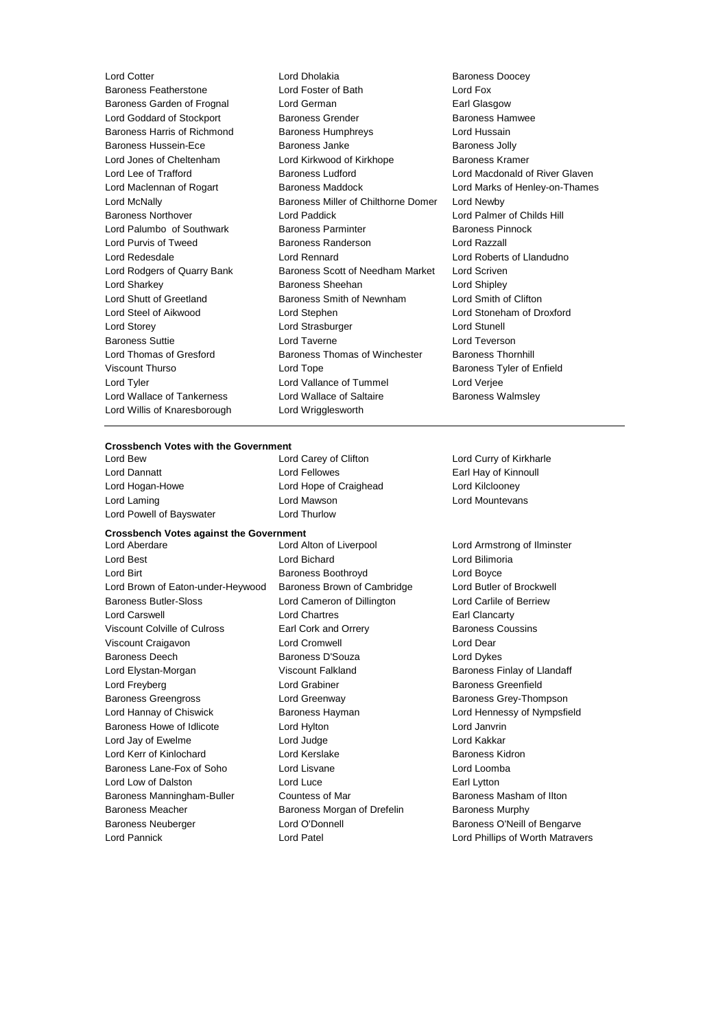Lord Willis of Knaresborough Lord Wrigglesworth

Lord Cotter **Lord Dholakia** Lord Dholakia **Baroness Doocey**<br>
Baroness Featherstone **Lord Foster of Bath** Lord Fox Baroness Featherstone Lord Foster of Bath Lord Fox Baroness Garden of Frognal Lord German Earl Glasgow Lord Goddard of Stockport **Baroness Grender** Baroness Hamwee Baroness Harris of Richmond Baroness Humphreys Lord Hussain Baroness Hussein-Ece **Baroness Janke** Baroness Janke **Baroness Jolly** Lord Jones of Cheltenham Lord Kirkwood of Kirkhope Baroness Kramer Lord Lee of Trafford **Baroness Ludford** Lord Macdonald of River Glaven Lord Maclennan of Rogart Baroness Maddock Lord Marks of Henley-on-Thames Lord McNally Baroness Miller of Chilthorne Domer Lord Newby Baroness Northover **Lord Paddick** Lord Paddick **Lord Palmer of Childs Hill** Lord Palumbo of Southwark Baroness Parminter Baroness Pinnock Lord Purvis of Tweed **Baroness Randerson** Baroness Randerson Lord Redesdale Lord Rennard Lord Roberts of Llandudno Lord Rodgers of Quarry Bank Baroness Scott of Needham Market Lord Scriven Lord Sharkey **Baroness Sheehan** Lord Shipley **Constants In the Shipley** Lord Shutt of Greetland Baroness Smith of Newnham Lord Smith of Clifton Lord Steel of Aikwood Lord Stephen Lord Stoneham of Droxford Lord Storey Lord Strasburger Lord Stunell Baroness Suttie Lord Taverne Lord Teverson Lord Thomas of Gresford Baroness Thomas of Winchester Baroness Thornhill Viscount Thurso **Communist Contract Contract Contract Contract Contract Contract Contract Contract Contract Contract Contract Contract Contract Contract Contract Contract Contract Contract Contract Contract Contract Contra** Lord Tyler Lord Vallance of Tummel Lord Verjee Lord Wallace of Tankerness **Lord Wallace of Saltaire** Baroness Walmsley

## **Crossbench Votes with the Government**

Lord Powell of Bayswater **Lord Thurlow** 

Lord Dannatt Lord Fellowes Earl Hay of Kinnoull Lord Hogan-Howe Lord Hope of Craighead Lord Kilclooney Lord Laming **Lord Mawson** Lord Mawson **Lord Lord Mountevans** 

#### **Crossbench Votes against the Government**

Lord Best Lord Bichard Lord Bilimoria Lord Birt **Baroness Boothroyd** Cord Boyce Lord Boyce Lord Brown of Eaton-under-Heywood Baroness Brown of Cambridge Lord Butler of Brockwell Baroness Butler-Sloss Lord Cameron of Dillington Lord Carlile of Berriew Lord Carswell Lord Chartres Earl Clancarty Viscount Colville of Culross **Earl Cork and Orrery Baroness Coussins** Baroness Coussins Viscount Craigavon Lord Cromwell Lord Dear Baroness Deech Baroness D'Souza Lord Dykes Lord Elystan-Morgan **Matter Clubse Clubse Clubse Viscount Falkland** Baroness Finlay of Llandaff Lord Freyberg **Contains Container** Lord Grabiner **Baroness Greenfield** Baroness Greengross **Exercise Screenway** Baroness Grey-Thompson Lord Hannay of Chiswick Baroness Hayman Lord Hennessy of Nympsfield Baroness Howe of Idlicote **Lord Hylton** Lord Hylton **Lord Janvrin** Lord Jay of Ewelme **Lord Judge** Lord Judge **Lord Lord Kakkar** Lord Kerr of Kinlochard Lord Kerslake Baroness Kidron Baroness Lane-Fox of Soho Lord Lisvane Lord Lord Lord Loomba Lord Low of Dalston Lord Luce Earl Lytton Baroness Manningham-Buller Countess of Mar Baroness Masham of Ilton Baroness Meacher **Baroness Morgan of Drefelin** Baroness Murphy Baroness Neuberger Lord O'Donnell Baroness O'Neill of Bengarve Lord Pannick Lord Patel Lord Phillips of Worth Matravers

Lord Aberdare Lord Alton of Liverpool Lord Armstrong of Ilminster

Lord Curry of Kirkharle